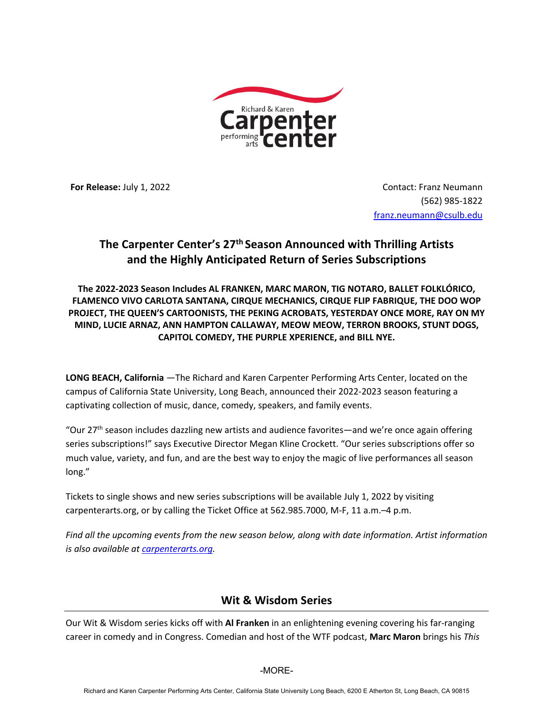

**For Release:** July 1, 2022 **Contact: Franz Neumann** (562) 985-1822 franz.neumann@csulb.edu

# **The Carpenter Center's 27th Season Announced with Thrilling Artists and the Highly Anticipated Return of Series Subscriptions**

**The 2022-2023 Season Includes AL FRANKEN, MARC MARON, TIG NOTARO, BALLET FOLKLÓRICO, FLAMENCO VIVO CARLOTA SANTANA, CIRQUE MECHANICS, CIRQUE FLIP FABRIQUE, THE DOO WOP PROJECT, THE QUEEN'S CARTOONISTS, THE PEKING ACROBATS, YESTERDAY ONCE MORE, RAY ON MY MIND, LUCIE ARNAZ, ANN HAMPTON CALLAWAY, MEOW MEOW, TERRON BROOKS, STUNT DOGS, CAPITOL COMEDY, THE PURPLE XPERIENCE, and BILL NYE.**

**LONG BEACH, California** —The Richard and Karen Carpenter Performing Arts Center, located on the campus of California State University, Long Beach, announced their 2022-2023 season featuring a captivating collection of music, dance, comedy, speakers, and family events.

"Our 27<sup>th</sup> season includes dazzling new artists and audience favorites—and we're once again offering series subscriptions!" says Executive Director Megan Kline Crockett. "Our series subscriptions offer so much value, variety, and fun, and are the best way to enjoy the magic of live performances all season long."

Tickets to single shows and new series subscriptions will be available July 1, 2022 by visiting carpenterarts.org, or by calling the Ticket Office at 562.985.7000, M-F, 11 a.m.–4 p.m.

*Find all the upcoming events from the new season below, along with date information. Artist information is also available at carpenterarts.org.*

## **Wit & Wisdom Series**

Our Wit & Wisdom series kicks off with **Al Franken** in an enlightening evening covering his far-ranging career in comedy and in Congress. Comedian and host of the WTF podcast, **Marc Maron** brings his *This* 

#### -MORE-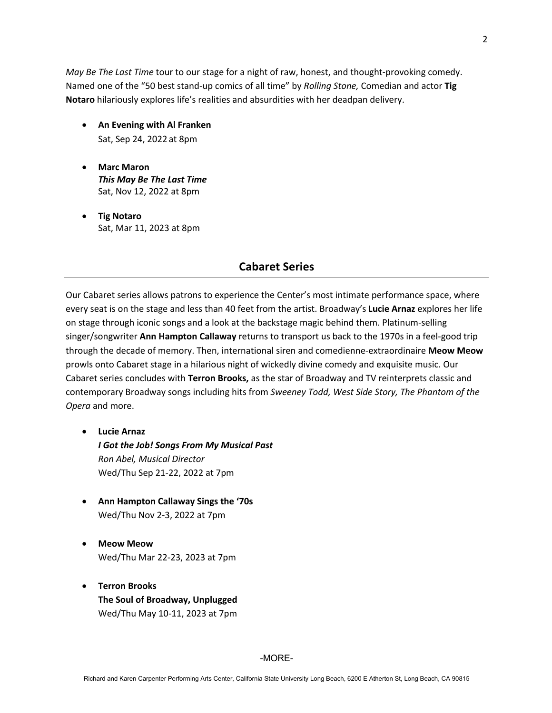*May Be The Last Time* tour to our stage for a night of raw, honest, and thought-provoking comedy. Named one of the "50 best stand-up comics of all time" by *Rolling Stone,* Comedian and actor **Tig Notaro** hilariously explores life's realities and absurdities with her deadpan delivery.

- **An Evening with Al Franken** Sat, Sep 24, 2022 at 8pm
- **Marc Maron** *This May Be The Last Time* Sat, Nov 12, 2022 at 8pm
- **Tig Notaro** Sat, Mar 11, 2023 at 8pm

## **Cabaret Series**

Our Cabaret series allows patrons to experience the Center's most intimate performance space, where every seat is on the stage and less than 40 feet from the artist. Broadway's **Lucie Arnaz** explores her life on stage through iconic songs and a look at the backstage magic behind them. Platinum-selling singer/songwriter **Ann Hampton Callaway** returns to transport us back to the 1970s in a feel-good trip through the decade of memory. Then, international siren and comedienne-extraordinaire **Meow Meow** prowls onto Cabaret stage in a hilarious night of wickedly divine comedy and exquisite music. Our Cabaret series concludes with **Terron Brooks,** as the star of Broadway and TV reinterprets classic and contemporary Broadway songs including hits from *Sweeney Todd, West Side Story, The Phantom of the Opera* and more.

- **Lucie Arnaz** *I Got the Job! Songs From My Musical Past Ron Abel, Musical Director* Wed/Thu Sep 21-22, 2022 at 7pm
- **Ann Hampton Callaway Sings the '70s** Wed/Thu Nov 2-3, 2022 at 7pm
- **Meow Meow** Wed/Thu Mar 22-23, 2023 at 7pm
- **Terron Brooks The Soul of Broadway, Unplugged** Wed/Thu May 10-11, 2023 at 7pm

2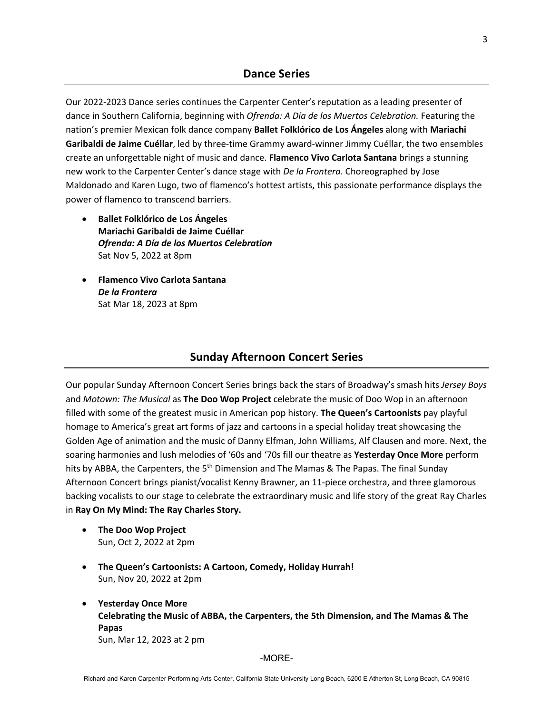Our 2022-2023 Dance series continues the Carpenter Center's reputation as a leading presenter of dance in Southern California, beginning with *Ofrenda: A Día de los Muertos Celebration.* Featuring the nation's premier Mexican folk dance company **Ballet Folklórico de Los Ángeles** along with **Mariachi Garibaldi de Jaime Cuéllar**, led by three-time Grammy award-winner Jimmy Cuéllar, the two ensembles create an unforgettable night of music and dance. **Flamenco Vivo Carlota Santana** brings a stunning new work to the Carpenter Center's dance stage with *De la Frontera*. Choreographed by Jose Maldonado and Karen Lugo, two of flamenco's hottest artists, this passionate performance displays the power of flamenco to transcend barriers.

- **Ballet Folklórico de Los Ángeles Mariachi Garibaldi de Jaime Cuéllar** *Ofrenda: A Día de los Muertos Celebration* Sat Nov 5, 2022 at 8pm
- **Flamenco Vivo Carlota Santana** *De la Frontera* Sat Mar 18, 2023 at 8pm

## **Sunday Afternoon Concert Series**

Our popular Sunday Afternoon Concert Series brings back the stars of Broadway's smash hits *Jersey Boys*  and *Motown: The Musical* as **The Doo Wop Project** celebrate the music of Doo Wop in an afternoon filled with some of the greatest music in American pop history. **The Queen's Cartoonists** pay playful homage to America's great art forms of jazz and cartoons in a special holiday treat showcasing the Golden Age of animation and the music of Danny Elfman, John Williams, Alf Clausen and more. Next, the soaring harmonies and lush melodies of '60s and '70s fill our theatre as **Yesterday Once More** perform hits by ABBA, the Carpenters, the 5<sup>th</sup> Dimension and The Mamas & The Papas. The final Sunday Afternoon Concert brings pianist/vocalist Kenny Brawner, an 11-piece orchestra, and three glamorous backing vocalists to our stage to celebrate the extraordinary music and life story of the great Ray Charles in **Ray On My Mind: The Ray Charles Story.**

- **The Doo Wop Project** Sun, Oct 2, 2022 at 2pm
- **The Queen's Cartoonists: A Cartoon, Comedy, Holiday Hurrah!** Sun, Nov 20, 2022 at 2pm
- **Yesterday Once More Celebrating the Music of ABBA, the Carpenters, the 5th Dimension, and The Mamas & The Papas**  Sun, Mar 12, 2023 at 2 pm

-MORE-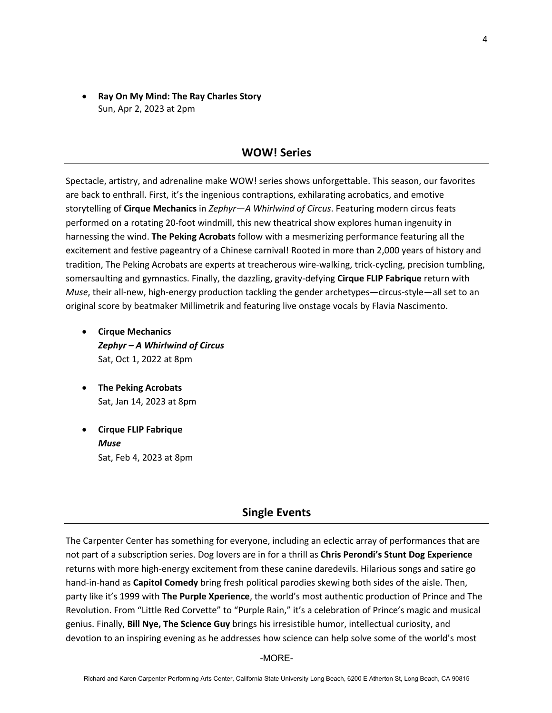• **Ray On My Mind: The Ray Charles Story** Sun, Apr 2, 2023 at 2pm

#### **WOW! Series**

Spectacle, artistry, and adrenaline make WOW! series shows unforgettable. This season, our favorites are back to enthrall. First, it's the ingenious contraptions, exhilarating acrobatics, and emotive storytelling of **Cirque Mechanics** in *Zephyr—A Whirlwind of Circus*. Featuring modern circus feats performed on a rotating 20-foot windmill, this new theatrical show explores human ingenuity in harnessing the wind. **The Peking Acrobats** follow with a mesmerizing performance featuring all the excitement and festive pageantry of a Chinese carnival! Rooted in more than 2,000 years of history and tradition, The Peking Acrobats are experts at treacherous wire-walking, trick-cycling, precision tumbling, somersaulting and gymnastics. Finally, the dazzling, gravity-defying **Cirque FLIP Fabrique** return with *Muse*, their all-new, high-energy production tackling the gender archetypes—circus-style—all set to an original score by beatmaker Millimetrik and featuring live onstage vocals by Flavia Nascimento.

- **Cirque Mechanics** *Zephyr – A Whirlwind of Circus* Sat, Oct 1, 2022 at 8pm
- **The Peking Acrobats** Sat, Jan 14, 2023 at 8pm
- **Cirque FLIP Fabrique**  *Muse* Sat, Feb 4, 2023 at 8pm

#### **Single Events**

The Carpenter Center has something for everyone, including an eclectic array of performances that are not part of a subscription series. Dog lovers are in for a thrill as **Chris Perondi's Stunt Dog Experience** returns with more high-energy excitement from these canine daredevils. Hilarious songs and satire go hand-in-hand as **Capitol Comedy** bring fresh political parodies skewing both sides of the aisle. Then, party like it's 1999 with **The Purple Xperience**, the world's most authentic production of Prince and The Revolution. From "Little Red Corvette" to "Purple Rain," it's a celebration of Prince's magic and musical genius. Finally, **Bill Nye, The Science Guy** brings his irresistible humor, intellectual curiosity, and devotion to an inspiring evening as he addresses how science can help solve some of the world's most

-MORE-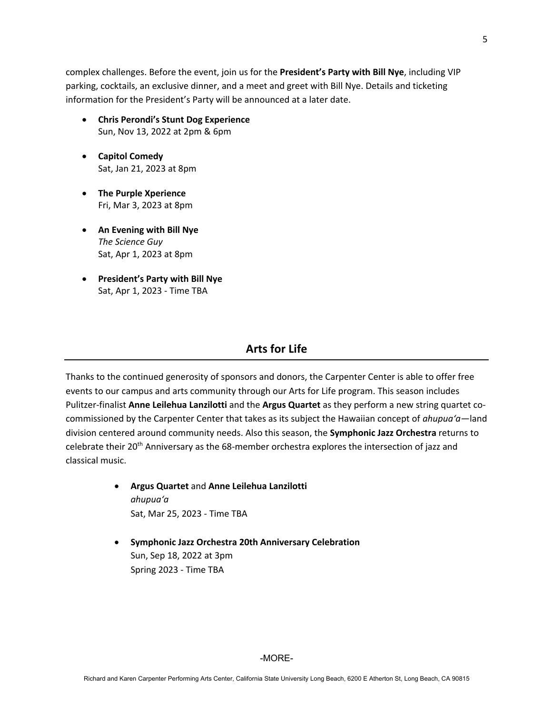complex challenges. Before the event, join us for the **President's Party with Bill Nye**, including VIP parking, cocktails, an exclusive dinner, and a meet and greet with Bill Nye. Details and ticketing information for the President's Party will be announced at a later date.

- **Chris Perondi's Stunt Dog Experience** Sun, Nov 13, 2022 at 2pm & 6pm
- **Capitol Comedy** Sat, Jan 21, 2023 at 8pm
- **The Purple Xperience** Fri, Mar 3, 2023 at 8pm
- **An Evening with Bill Nye**  *The Science Guy*  Sat, Apr 1, 2023 at 8pm
- **President's Party with Bill Nye**  Sat, Apr 1, 2023 - Time TBA

## **Arts for Life**

Thanks to the continued generosity of sponsors and donors, the Carpenter Center is able to offer free events to our campus and arts community through our Arts for Life program. This season includes Pulitzer-finalist **Anne Leilehua Lanzilotti** and the **Argus Quartet** as they perform a new string quartet cocommissioned by the Carpenter Center that takes as its subject the Hawaiian concept of *ahupua'a—*land division centered around community needs. Also this season, the **Symphonic Jazz Orchestra** returns to celebrate their 20<sup>th</sup> Anniversary as the 68-member orchestra explores the intersection of jazz and classical music.

- **Argus Quartet** and **Anne Leilehua Lanzilotti** *ahupua'a* Sat, Mar 25, 2023 - Time TBA
- **Symphonic Jazz Orchestra 20th Anniversary Celebration**  Sun, Sep 18, 2022 at 3pm Spring 2023 - Time TBA